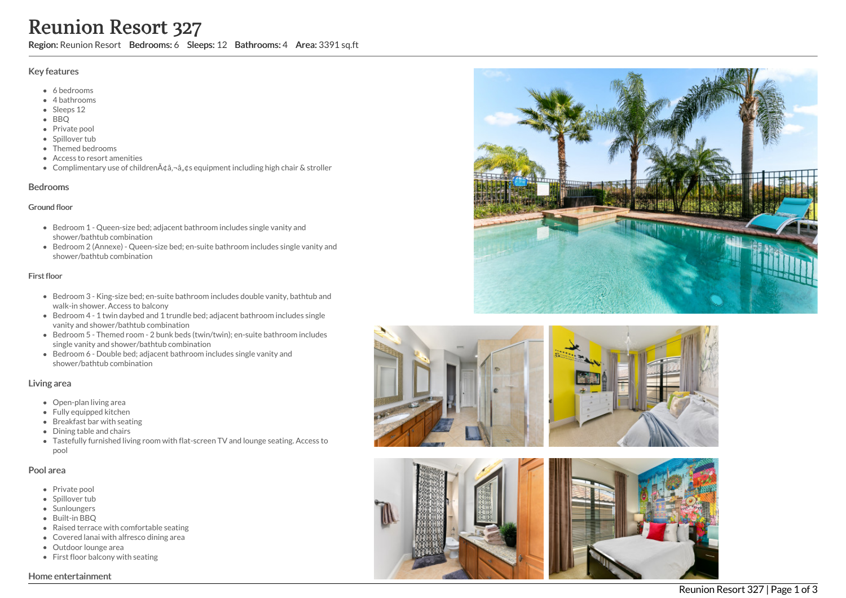# Reunion Resort 327

Region: Reunion Resort Bedrooms: 6 Sleeps: 12 Bathrooms: 4 Area: 3391 sq.ft

#### Key features

- 6 b e d r o o m s
- 4 bathrooms
- Sleeps 12
- B B Q
- Private pool
- Spillover tub
- Themed bedr o o m s
- Access to resort amenities
- Complimentary use of childrenââ,¬â"¢s equipment including high chair & stroller

### **Bedrooms**

#### Ground floor

- Bedroom 1 Queen-size bed; adjacent bathroom includes single vanity and shower/bathtub combination
- Bedroom 2 (Annexe) Queen-size bed; en-suite bathroom includes single vanity and shower/bathtub combination

### First floor

- Bedroom 3 King-size bed; en-suite bathroom includes double vanity, bathtub and walk-in shower. Access to balcony
- Bedroom 4 1 twin daybed and 1 trundle bed; adjacent bathroom includes single vanity and shower/bathtub combination
- Bedroom 5 Themed room 2 bunk beds (twin/twin); en-suite bathroom includes single vanity and shower/bathtub combination
- Bedroom 6 Double bed; adjacent bathroom includes single vanity and shower/bathtub combination

## Living area

- Open-plan living area
- Fully equipped kitchen
- Breakfast bar with seating
- Dining table and chairs
- Tastefully furnished living room with flat-screen TV and lounge seating. Access to pool

## Pool area

- Private pool
- Spillover tub
- Sunloungers
- Built-in BBQ
- Raised terrace with comfortable seating
- Covered lanai with alfresco dining area
- Outdoor lounge area
- First floor balcony with seating





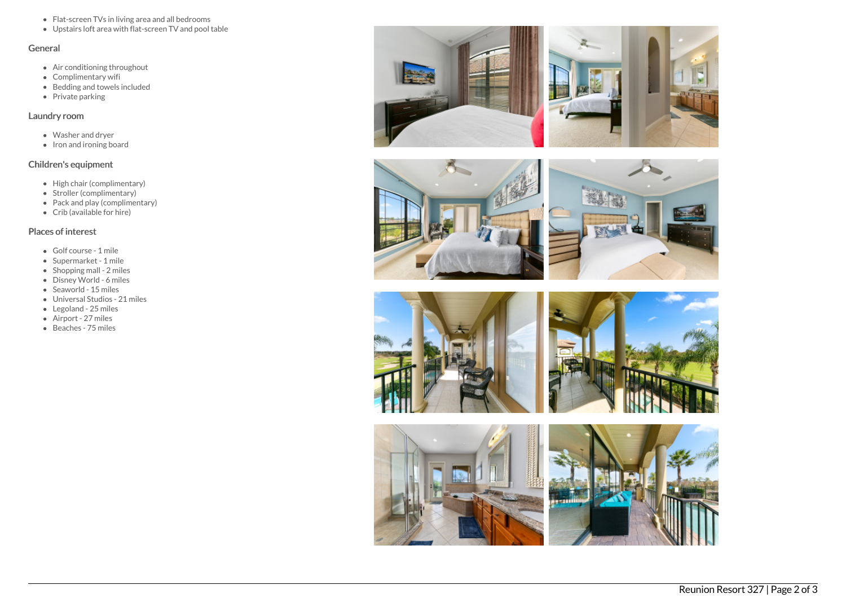- Flat-screen TVs in living area and all bedrooms
- Upstairs loft area with flat-screen TV and pool table

#### General

- Air conditioning throughout
- Complimentary wifi
- Bedding and towels included
- Private parking

# Laundry room

- Washer and dryer
- Iron and ironing board

# Children's equipment

- High chair (complimentary)
- Stroller (complimentary)
- Pack and play (complimentary)
- Crib (available for hire)

## Places of interest

- Golf course 1 mile
- Supermarket 1 mile
- Shopping mall 2 miles
- Disney World 6 miles
- Seaworld 15 miles
- Universal Studios 21 miles
- Legoland 25 miles
- Airport 27 miles
- Beaches 75 miles